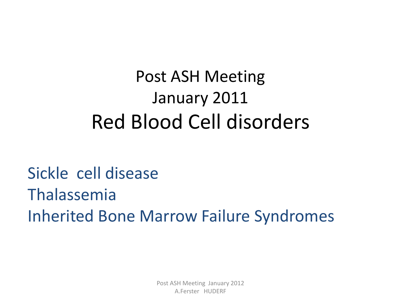#### Post ASH Meeting January 2011 Red Blood Cell disorders

#### Sickle cell disease Thalassemia Inherited Bone Marrow Failure Syndromes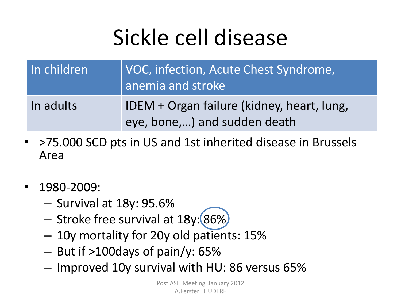# Sickle cell disease

| In children | VOC, infection, Acute Chest Syndrome,<br>anemia and stroke                 |
|-------------|----------------------------------------------------------------------------|
| In adults   | IDEM + Organ failure (kidney, heart, lung,<br>eye, bone,) and sudden death |

- >75.000 SCD pts in US and 1st inherited disease in Brussels Area
- 1980-2009:
	- Survival at 18y: 95.6%
	- Stroke free survival at 18y: (86%)
	- 10y mortality for 20y old patients: 15%
	- But if >100days of pain/y: 65%
	- Improved 10y survival with HU: 86 versus 65%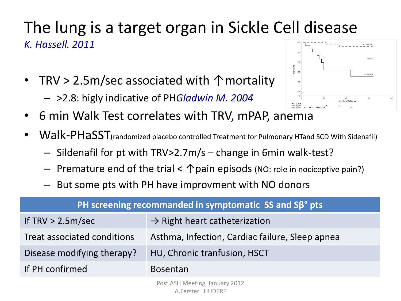#### The lung is a target organ in Sickle Cell disease *K. Hassell. 2011*

- TRV > 2.5m/sec associated with ↑ mortality
	- >2.8: higly indicative of PH*Gladwin M. 2004*



- 6 min Walk Test correlates with TRV, mPAP, anemia
- Walk-PHaSST<sub>(randomized placebo controlled Treatment for Pulmonary HTand SCD With Sidenafil)</sub>
	- Sildenafil for pt with TRV>2.7m/s change in 6min walk-test?
	- Fremature end of the trial  $\leq \bigwedge$  pain episods (NO: role in nociceptive pain?)
	- But some pts with PH have improvment with NO donors

| PH screening recommanded in symptomatic $SS$ and $SB^{\circ}$ pts |                                                 |  |  |  |
|-------------------------------------------------------------------|-------------------------------------------------|--|--|--|
| If $TRV > 2.5m/sec$                                               | $\rightarrow$ Right heart catheterization       |  |  |  |
| Treat associated conditions                                       | Asthma, Infection, Cardiac failure, Sleep apnea |  |  |  |
| Disease modifying therapy?                                        | HU, Chronic tranfusion, HSCT                    |  |  |  |
| If PH confirmed                                                   | <b>Bosentan</b>                                 |  |  |  |
|                                                                   |                                                 |  |  |  |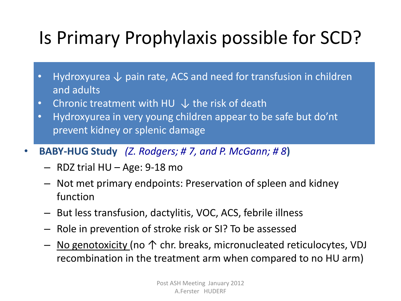#### Is Primary Prophylaxis possible for SCD?

- Hydroxyurea  $\downarrow$  pain rate, ACS and need for transfusion in children and adults
- Chronic treatment with HU  $\downarrow$  the risk of death
- Hydroxyurea in very young children appear to be safe but do'nt prevent kidney or splenic damage
- **BABY-HUG Study** *(Z. Rodgers; # 7, and P. McGann; # 8***)**
	- RDZ trial HU Age: 9-18 mo
	- Not met primary endpoints: Preservation of spleen and kidney function
	- But less transfusion, dactylitis, VOC, ACS, febrile illness
	- Role in prevention of stroke risk or SI? To be assessed
	- No genotoxicity (no ↑ chr. breaks, micronucleated reticulocytes, VDJ recombination in the treatment arm when compared to no HU arm)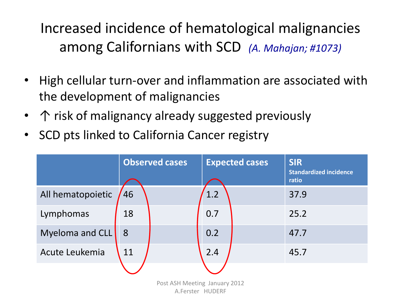#### Increased incidence of hematological malignancies among Californians with SCD *(A. Mahajan; #1073)*

- High cellular turn-over and inflammation are associated with the development of malignancies
- 个 risk of malignancy already suggested previously
- SCD pts linked to California Cancer registry

|                   |    | <b>Observed cases</b> |     | <b>Expected cases</b> | <b>SIR</b><br><b>Standardized incidence</b><br>ratio |
|-------------------|----|-----------------------|-----|-----------------------|------------------------------------------------------|
| All hematopoietic | 46 |                       | 1.2 |                       | 37.9                                                 |
| Lymphomas         | 18 |                       | 0.7 |                       | 25.2                                                 |
| Myeloma and CLL   | 8  |                       | 0.2 |                       | 47.7                                                 |
| Acute Leukemia    | 11 |                       | 2.4 |                       | 45.7                                                 |
|                   |    |                       |     |                       |                                                      |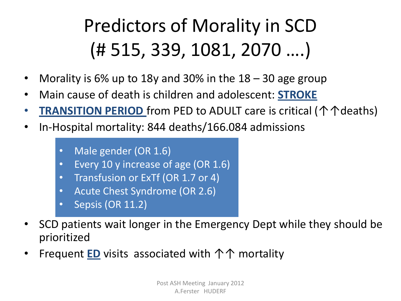### Predictors of Morality in SCD (# 515, 339, 1081, 2070 ….)

- Morality is 6% up to 18y and 30% in the 18 30 age group
- Main cause of death is children and adolescent: **STROKE**
- **TRANSITION PERIOD** from PED to ADULT care is critical (个个deaths)
- In-Hospital mortality: 844 deaths/166.084 admissions
	- Male gender (OR 1.6)
	- Every 10 y increase of age (OR 1.6)
	- Transfusion or ExTf (OR 1.7 or 4)
	- Acute Chest Syndrome (OR 2.6)
	- Sepsis (OR 11.2)
- SCD patients wait longer in the Emergency Dept while they should be prioritized
- Frequent **ED** visits associated with 个个 mortality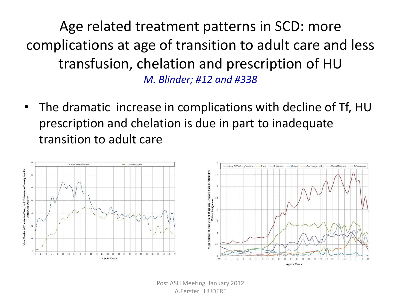Age related treatment patterns in SCD: more complications at age of transition to adult care and less transfusion, chelation and prescription of HU *M. Blinder; #12 and #338*

• The dramatic increase in complications with decline of Tf, HU prescription and chelation is due in part to inadequate transition to adult care

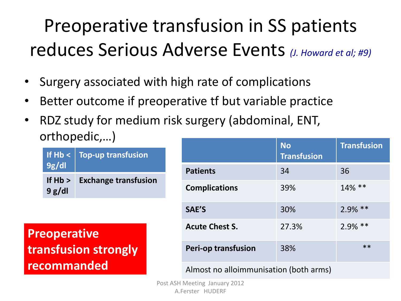### Preoperative transfusion in SS patients reduces Serious Adverse Events *(J. Howard et al; #9)*

- Surgery associated with high rate of complications
- Better outcome if preoperative tf but variable practice
- RDZ study for medium risk surgery (abdominal, ENT, orthopedic,…)

| If $Hb <$<br>9g/dl    | <b>Top-up transfusion</b>   |
|-----------------------|-----------------------------|
| If $Hb > 0$<br>9 g/dl | <b>Exchange transfusion</b> |

**Preoperative transfusion strongly recommanded**

|                                        | <b>No</b><br><b>Transfusion</b> | <b>Transfusion</b> |
|----------------------------------------|---------------------------------|--------------------|
| <b>Patients</b>                        | 34                              | 36                 |
| <b>Complications</b>                   | 39%                             | $14\%$ **          |
| SAE'S                                  | 30%                             | $2.9\%$ **         |
| <b>Acute Chest S.</b>                  | 27.3%                           | $2.9\%$ **         |
| <b>Peri-op transfusion</b>             | 38%                             | $**$               |
| Almost no alloimmunisation (both arms) |                                 |                    |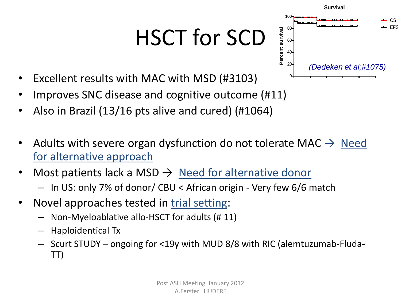# HSCT for SCD



- Excellent results with MAC with MSD (#3103)
- Improves SNC disease and cognitive outcome (#11)
- Also in Brazil (13/16 pts alive and cured) (#1064)
- Adults with severe organ dysfunction do not tolerate MAC  $\rightarrow$  Need for alternative approach
- Most patients lack a MSD  $\rightarrow$  Need for alternative donor – In US: only 7% of donor/ CBU < African origin - Very few 6/6 match
- Novel approaches tested in trial setting:
	- Non-Myeloablative allo-HSCT for adults (# 11)
	- Haploidentical Tx
	- Scurt STUDY ongoing for <19y with MUD 8/8 with RIC (alemtuzumab-Fluda-TT)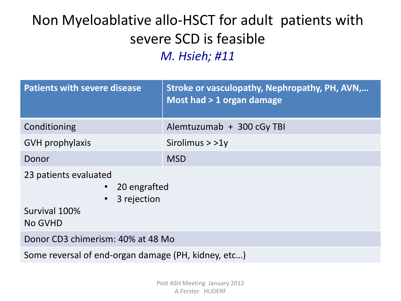#### Non Myeloablative allo-HSCT for adult patients with severe SCD is feasible *M. Hsieh; #11*

| <b>Patients with severe disease</b>                                                           | Stroke or vasculopathy, Nephropathy, PH, AVN,<br>Most had > 1 organ damage |  |  |
|-----------------------------------------------------------------------------------------------|----------------------------------------------------------------------------|--|--|
| Conditioning                                                                                  | Alemtuzumab + 300 cGy TBI                                                  |  |  |
| <b>GVH</b> prophylaxis                                                                        | Sirolimus $>$ $>$ 1y                                                       |  |  |
| Donor                                                                                         | <b>MSD</b>                                                                 |  |  |
| 23 patients evaluated<br>20 engrafted<br>$\bullet$<br>3 rejection<br>Survival 100%<br>No GVHD |                                                                            |  |  |
| Donor CD3 chimerism: 40% at 48 Mo                                                             |                                                                            |  |  |
| Some reversal of end-organ damage (PH, kidney, etc)                                           |                                                                            |  |  |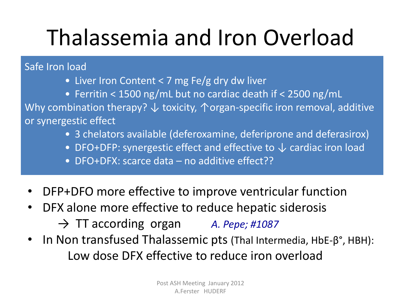# Thalassemia and Iron Overload

Safe Iron load

- Liver Iron Content < 7 mg Fe/g dry dw liver
- Ferritin < 1500 ng/mL but no cardiac death if < 2500 ng/mL Why combination therapy?  $\downarrow$  toxicity,  $\uparrow$  organ-specific iron removal, additive or synergestic effect
	- 3 chelators available (deferoxamine, deferiprone and deferasirox)
	- DFO+DFP: synergestic effect and effective to  $\downarrow$  cardiac iron load
	- DFO+DFX: scarce data no additive effect??
- DFP+DFO more effective to improve ventricular function
- DFX alone more effective to reduce hepatic siderosis
	- → TT according organ *A. Pepe; #1087*
- In Non transfused Thalassemic pts (Thal Intermedia, HbE-β°, HBH): Low dose DFX effective to reduce iron overload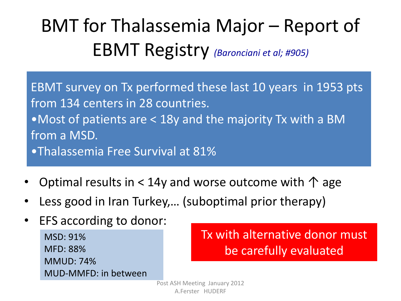### BMT for Thalassemia Major – Report of EBMT Registry *(Baronciani et al; #905)*

EBMT survey on Tx performed these last 10 years in 1953 pts from 134 centers in 28 countries. •Most of patients are < 18y and the majority Tx with a BM from a MSD. •Thalassemia Free Survival at 81%

- Optimal results in < 14y and worse outcome with  $\uparrow$  age
- Less good in Iran Turkey,… (suboptimal prior therapy)
- EFS according to donor: MSD: 91% MFD: 88% MMUD: 74% MUD-MMFD: in between

Tx with alternative donor must be carefully evaluated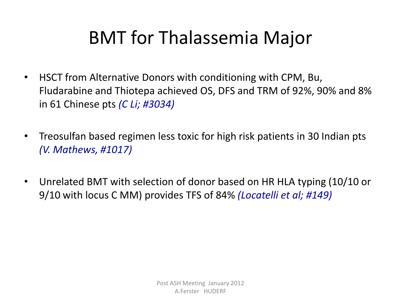#### BMT for Thalassemia Major

- HSCT from Alternative Donors with conditioning with CPM, Bu, Fludarabine and Thiotepa achieved OS, DFS and TRM of 92%, 90% and 8% in 61 Chinese pts *(C Li; #3034)*
- Treosulfan based regimen less toxic for high risk patients in 30 Indian pts *(V. Mathews, #1017)*
- Unrelated BMT with selection of donor based on HR HLA typing (10/10 or 9/10 with locus C MM) provides TFS of 84% *(Locatelli et al; #149)*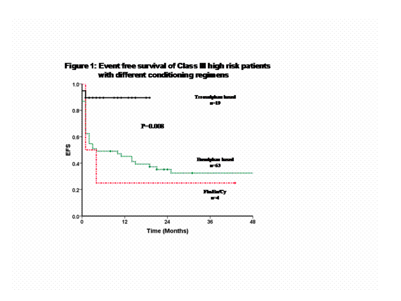